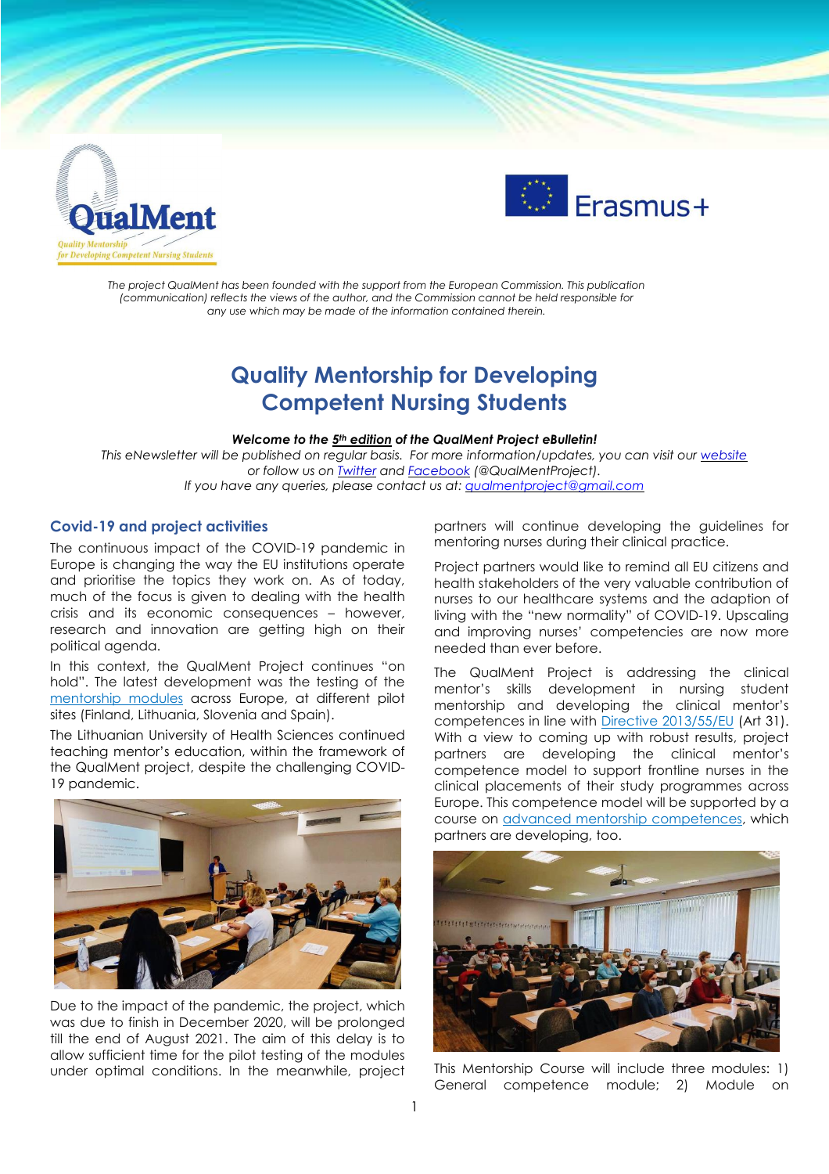



*The project QualMent has been founded with the support from the European Commission. This publication (communication) reflects the views of the author, and the Commission cannot be held responsible for any use which may be made of the information contained therein.*

# **Quality Mentorship for Developing Competent Nursing Students**

#### *Welcome to the 5 th edition of the QualMent Project eBulletin!*

*This eNewsletter will be published on regular basis. For more information/updates, you can visit our [website](http://www.qualment.be/) or follow us on [Twitter](https://twitter.com/QualMentProject) and [Facebook](https://www.facebook.com/QualMentProject/) (@QualMentProject). If you have any queries, please contact us at: [qualmentproject@gmail.com](mailto:qualmentproject@gmail.com)*

#### **Covid-19 and project activities**

The continuous impact of the COVID-19 pandemic in Europe is changing the way the EU institutions operate and prioritise the topics they work on. As of today, much of the focus is given to dealing with the health crisis and its economic consequences – however, research and innovation are getting high on their political agenda.

In this context, the QualMent Project continues "on hold". The latest development was the testing of the [mentorship](https://www.qualment.eu/e-classroom/) modules across Europe, at different pilot sites (Finland, Lithuania, Slovenia and Spain).

The Lithuanian University of Health Sciences continued teaching mentor's education, within the framework of the QualMent project, despite the challenging COVID-19 pandemic.



Due to the impact of the pandemic, the project, which was due to finish in December 2020, will be prolonged till the end of August 2021. The aim of this delay is to allow sufficient time for the pilot testing of the modules under optimal conditions. In the meanwhile, project partners will continue developing the guidelines for mentoring nurses during their clinical practice.

Project partners would like to remind all EU citizens and health stakeholders of the very valuable contribution of nurses to our healthcare systems and the adaption of living with the "new normality" of COVID-19. Upscaling and improving nurses' competencies are now more needed than ever before.

The QualMent Project is addressing the clinical mentor's skills development in nursing student mentorship and developing the clinical mentor's competences in line with Directive [2013/55/EU](https://eur-lex.europa.eu/legal-content/EN/ALL/?uri=celex%3A32013L0055) (Art 31). With a view to coming up with robust results, project partners are developing the clinical mentor's competence model to support frontline nurses in the clinical placements of their study programmes across Europe. This competence model will be supported by a course on advanced mentorship [competences,](https://www.qualment.eu/news-events/course-framework-of-advanced-mentorship-competences/) which partners are developing, too.



This Mentorship Course will include three modules: 1) General competence module; 2) Module on